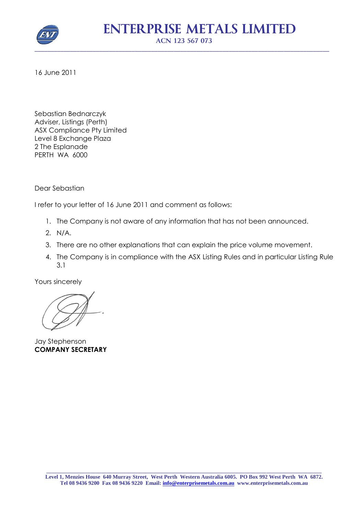

16 June 2011

Sebastian Bednarczyk Adviser, Listings (Perth) ASX Compliance Pty Limited Level 8 Exchange Plaza 2 The Esplanade PERTH WA 6000

Dear Sebastian

I refer to your letter of 16 June 2011 and comment as follows:

- 1. The Company is not aware of any information that has not been announced.
- 2. N/A.
- 3. There are no other explanations that can explain the price volume movement.
- 4. The Company is in compliance with the ASX Listing Rules and in particular Listing Rule 3.1

Yours sincerely

Jay Stephenson **COMPANY SECRETARY**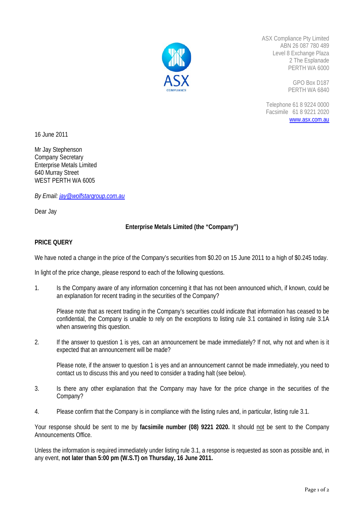

ASX Compliance Pty Limited ABN 26 087 780 489 Level 8 Exchange Plaza 2 The Esplanade PERTH WA 6000

> GPO Box D187 PERTH WA 6840

Telephone 61 8 9224 0000 Facsimile 61 8 9221 2020 www.asx.com.au

16 June 2011

Mr Jay Stephenson Company Secretary Enterprise Metals Limited 640 Murray Street WEST PERTH WA 6005

*By Email: jay@wolfstargroup.com.au*

Dear Jay

## **Enterprise Metals Limited (the "Company")**

## **PRICE QUERY**

We have noted a change in the price of the Company's securities from \$0.20 on 15 June 2011 to a high of \$0.245 today.

In light of the price change, please respond to each of the following questions.

1. Is the Company aware of any information concerning it that has not been announced which, if known, could be an explanation for recent trading in the securities of the Company?

Please note that as recent trading in the Company's securities could indicate that information has ceased to be confidential, the Company is unable to rely on the exceptions to listing rule 3.1 contained in listing rule 3.1A when answering this question.

2. If the answer to question 1 is yes, can an announcement be made immediately? If not, why not and when is it expected that an announcement will be made?

Please note, if the answer to question 1 is yes and an announcement cannot be made immediately, you need to contact us to discuss this and you need to consider a trading halt (see below).

- 3. Is there any other explanation that the Company may have for the price change in the securities of the Company?
- 4. Please confirm that the Company is in compliance with the listing rules and, in particular, listing rule 3.1.

Your response should be sent to me by **facsimile number (08) 9221 2020.** It should not be sent to the Company Announcements Office.

Unless the information is required immediately under listing rule 3.1, a response is requested as soon as possible and, in any event, **not later than 5:00 pm (W.S.T) on Thursday, 16 June 2011.**